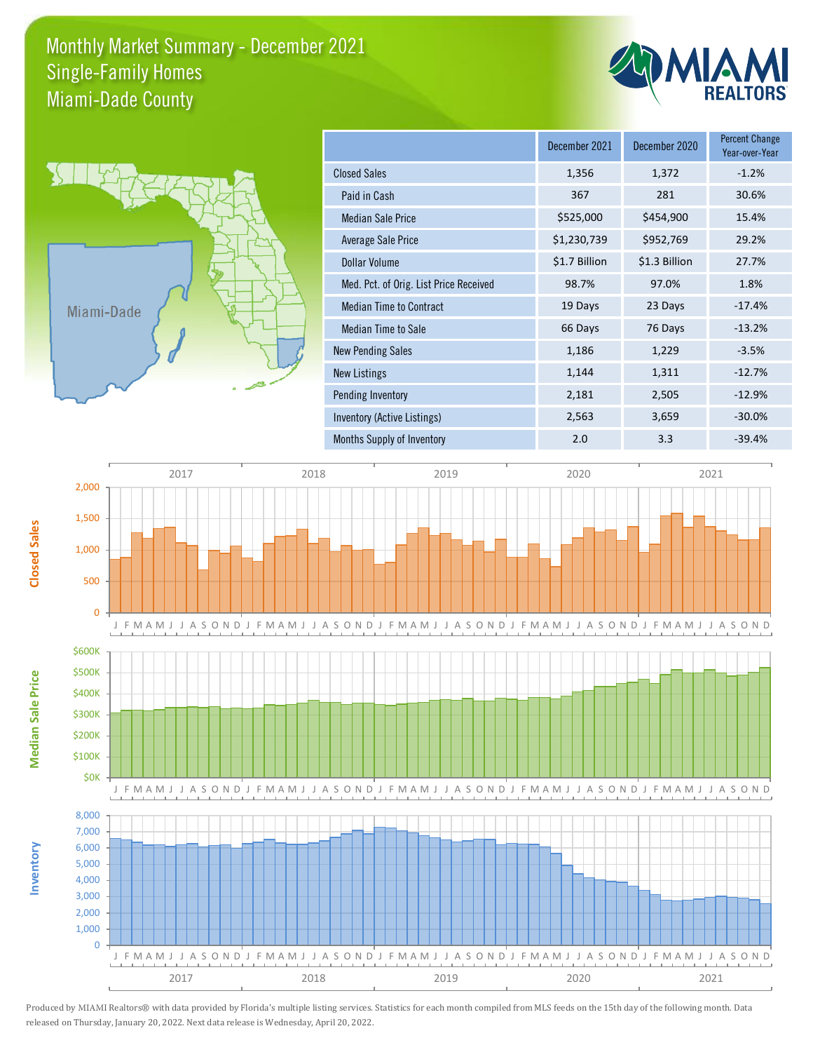## Monthly Market Summary - December 2021 Miami-Dade County Single-Family Homes





|                                        | December 2021 | December 2020 | <b>Percent Change</b><br>Year-over-Year |
|----------------------------------------|---------------|---------------|-----------------------------------------|
| <b>Closed Sales</b>                    | 1,356         | 1,372         | $-1.2%$                                 |
| Paid in Cash                           | 367           | 281           | 30.6%                                   |
| <b>Median Sale Price</b>               | \$525,000     | \$454,900     | 15.4%                                   |
| Average Sale Price                     | \$1,230,739   | \$952,769     | 29.2%                                   |
| Dollar Volume                          | \$1.7 Billion | \$1.3 Billion | 27.7%                                   |
| Med. Pct. of Orig. List Price Received | 98.7%         | 97.0%         | 1.8%                                    |
| <b>Median Time to Contract</b>         | 19 Days       | 23 Days       | $-17.4%$                                |
| Median Time to Sale                    | 66 Days       | 76 Days       | $-13.2%$                                |
| <b>New Pending Sales</b>               | 1,186         | 1,229         | $-3.5%$                                 |
| New Listings                           | 1,144         | 1,311         | $-12.7%$                                |
| Pending Inventory                      | 2,181         | 2,505         | $-12.9%$                                |
| Inventory (Active Listings)            | 2,563         | 3,659         | $-30.0%$                                |
| Months Supply of Inventory             | 2.0           | 3.3           | $-39.4%$                                |



Produced by MIAMI Realtors® with data provided by Florida's multiple listing services. Statistics for each month compiled from MLS feeds on the 15th day of the following month. Data released on Thursday, January 20, 2022. Next data release is Wednesday, April 20, 2022.